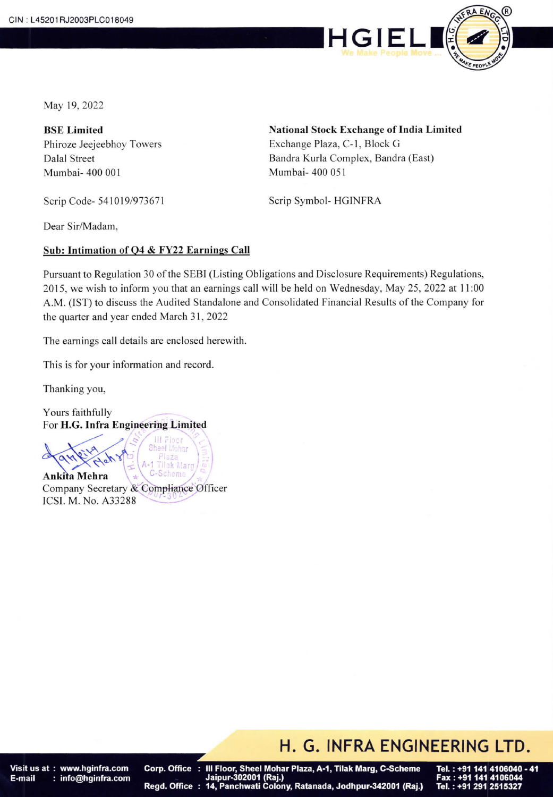

May 19, 2022

BSE Limited Phiroze Jeejeebhoy Towers Dalal Street Mumbai-400 001

Scrip Code- 541019/973671

National Stock Exchange of India Limited Exchange Plaza, C-1, Block G Bandra Kurla Complex, Bandra (East) Mumbai- 400 051

Scrip Symbol- HGINFRA

Dear Sir/Madam,

#### Sub: Intimation of 04 & FY22 Earnings Call

Pursuant to Regulation 30 of the SEBI (Listing Obligations and Disclosure Requirements) Regulations, 2015, we wish to inform you that an earnings call will be held on Wednesday, May 25, 2022 at 11 :00 A.M. (IST) to discuss the Audited Standalone and Consolidated Financial Results of the Company for the quarter and year ended March 31, 2022

The earnings call details are enclosed herewith.

This is for your information and record.

Thanking you,

Yours faithfully For H.G. Infra Engineering Limited

Moha k Maro Ankita Mehra 1eme Company Secretary & Compliance Officer<br>ICSL M. No. 433288 ICSI. M. No. A33288

### H. G. INFRA ENGINEERING LTD.

Visit us at: www.hginfra.com E-mail : info@hginfra.com

III Floor, Sheel Mohar Plaza, A-1, Tilak Marg, C-Scheme Corp. Office Jaipur-302001 (Raj.) 14, Panchwati Colony, Ratanada, Jodhpur-342001 (Raj.) Regd. Office:

Tel.: +91 291 2515327